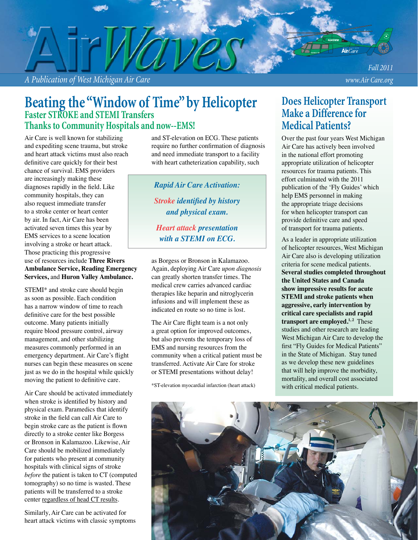*A Publication of West Michigan Air Care www.Air Care.org*

*Fall 2011*

## **Beating the "Window of Time" by Helicopter Faster STROKE and STEMI Transfers Thanks to Community Hospitals and now--EMS!**

Air Care is well known for stabilizing and expediting scene trauma, but stroke and heart attack victims must also reach definitive care quickly for their best chance of survival. EMS providers are increasingly making these diagnoses rapidly in the field. Like community hospitals, they can also request immediate transfer to a stroke center or heart center by air. In fact, Air Care has been activated seven times this year by EMS services to a scene location involving a stroke or heart attack. Those practicing this progressive use of resources include **Three Rivers Ambulance Service, Reading Emergency Services,** and **Huron Valley Ambulance.**

STEMI\* and stroke care should begin as soon as possible. Each condition has a narrow window of time to reach definitive care for the best possible outcome. Many patients initially require blood pressure control, airway management, and other stabilizing measures commonly performed in an emergency department. Air Care's flight nurses can begin these measures on scene just as we do in the hospital while quickly moving the patient to definitive care.

Air Care should be activated immediately when stroke is identified by history and physical exam. Paramedics that identify stroke in the field can call Air Care to begin stroke care as the patient is flown directly to a stroke center like Borgess or Bronson in Kalamazoo. Likewise, Air Care should be mobilized immediately for patients who present at community hospitals with clinical signs of stroke *before* the patient is taken to CT (computed tomography) so no time is wasted. These patients will be transferred to a stroke center regardless of head CT results.

Similarly, Air Care can be activated for heart attack victims with classic symptoms and ST-elevation on ECG. These patients require no further confirmation of diagnosis and need immediate transport to a facility with heart catheterization capability, such

*Rapid Air Care Activation: Stroke identified by history and physical exam.*

*Heart attack presentation with a STEMI on ECG.*

as Borgess or Bronson in Kalamazoo. Again, deploying Air Care *upon diagnosis* can greatly shorten transfer times. The medical crew carries advanced cardiac therapies like heparin and nitroglycerin infusions and will implement these as indicated en route so no time is lost.

The Air Care flight team is a not only a great option for improved outcomes, but also prevents the temporary loss of EMS and nursing resources from the community when a critical patient must be transferred. Activate Air Care for stroke or STEMI presentations without delay!

\*ST-elevation myocardial infarction (heart attack)

## **Does Helicopter Transport Make a Difference for Medical Patients?**

Over the past four years West Michigan Air Care has actively been involved in the national effort promoting appropriate utilization of helicopter resources for trauma patients. This effort culminated with the 2011 publication of the 'Fly Guides' which help EMS personnel in making the appropriate triage decisions for when helicopter transport can provide definitive care and speed of transport for trauma patients.

As a leader in appropriate utilization of helicopter resources, West Michigan Air Care also is developing utilization criteria for scene medical patients. **Several studies completed throughout the United States and Canada show impressive results for acute STEMI and stroke patients when aggressive, early intervention by critical care specialists and rapid transport are employed.**<sup>1,2</sup> These studies and other research are leading West Michigan Air Care to develop the first "Fly Guides for Medical Patients" in the State of Michigan. Stay tuned as we develop these new guidelines that will help improve the morbidity, mortality, and overall cost associated with critical medical patients.

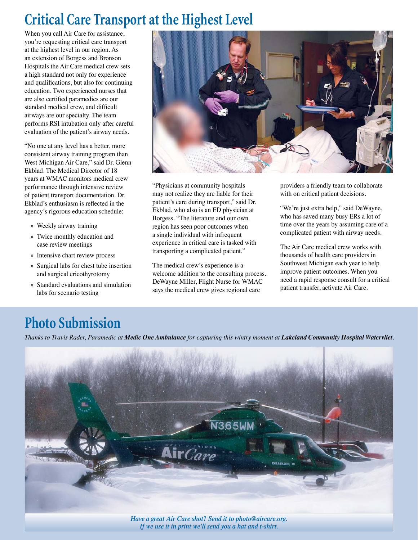## **Critical Care Transport at the Highest Level**

When you call Air Care for assistance, you're requesting critical care transport at the highest level in our region. As an extension of Borgess and Bronson Hospitals the Air Care medical crew sets a high standard not only for experience and qualifications, but also for continuing education. Two experienced nurses that are also certified paramedics are our standard medical crew, and difficult airways are our specialty. The team performs RSI intubation only after careful evaluation of the patient's airway needs.

"No one at any level has a better, more consistent airway training program than West Michigan Air Care," said Dr. Glenn Ekblad. The Medical Director of 18 years at WMAC monitors medical crew performance through intensive review of patient transport documentation. Dr. Ekblad's enthusiasm is reflected in the agency's rigorous education schedule:

- » Weekly airway training
- » Twice monthly education and case review meetings
- » Intensive chart review process
- » Surgical labs for chest tube insertion and surgical cricothyrotomy
- » Standard evaluations and simulation labs for scenario testing



"Physicians at community hospitals may not realize they are liable for their patient's care during transport," said Dr. Ekblad, who also is an ED physician at Borgess. "The literature and our own region has seen poor outcomes when a single individual with infrequent experience in critical care is tasked with transporting a complicated patient."

The medical crew's experience is a welcome addition to the consulting process. DeWayne Miller, Flight Nurse for WMAC says the medical crew gives regional care

providers a friendly team to collaborate with on critical patient decisions.

"We're just extra help," said DeWayne, who has saved many busy ERs a lot of time over the years by assuming care of a complicated patient with airway needs.

The Air Care medical crew works with thousands of health care providers in Southwest Michigan each year to help improve patient outcomes. When you need a rapid response consult for a critical patient transfer, activate Air Care.

# **Photo Submission**

*Thanks to Travis Rader, Paramedic at Medic One Ambulance for capturing this wintry moment at Lakeland Community Hospital Watervliet.* 



*Have a great Air Care shot? Send it to photo@aircare.org. If we use it in print we'll send you a hat and t-shirt.*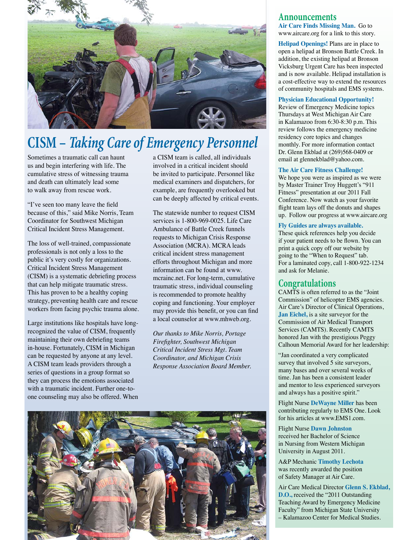

# **CISM –** *Taking Care of Emergency Personnel*

Sometimes a traumatic call can haunt us and begin interfering with life. The cumulative stress of witnessing trauma and death can ultimately lead some to walk away from rescue work.

"I've seen too many leave the field because of this," said Mike Norris, Team Coordinator for Southwest Michigan Critical Incident Stress Management.

The loss of well-trained, compassionate professionals is not only a loss to the public it's very costly for organizations. Critical Incident Stress Management (CISM) is a systematic debriefing process that can help mitigate traumatic stress. This has proven to be a healthy coping strategy, preventing health care and rescue workers from facing psychic trauma alone.

Large institutions like hospitals have longrecognized the value of CISM, frequently maintaining their own debriefing teams in-house. Fortunately, CISM in Michigan can be requested by anyone at any level. A CISM team leads providers through a series of questions in a group format so they can process the emotions associated with a traumatic incident. Further one-toone counseling may also be offered. When

a CISM team is called, all individuals involved in a critical incident should be invited to participate. Personnel like medical examiners and dispatchers, for example, are frequently overlooked but can be deeply affected by critical events.

The statewide number to request CISM services is 1-800-969-0025. Life Care Ambulance of Battle Creek funnels requests to Michigan Crisis Response Association (MCRA). MCRA leads critical incident stress management efforts throughout Michigan and more information can be found at www. mcrainc.net. For long-term, cumulative traumatic stress, individual counseling is recommended to promote healthy coping and functioning. Your employer may provide this benefit, or you can find a local counselor at www.mhweb.org.

*Our thanks to Mike Norris, Portage Firefi ghter, Southwest Michigan Critical Incident Stress Mgt. Team Coordinator, and Michigan Crisis Response Association Board Member.*



### **Announcements**

**Air Care Finds Missing Man.** Go to www.aircare.org for a link to this story.

**Helipad Openings!** Plans are in place to open a helipad at Bronson Battle Creek. In addition, the existing helipad at Bronson Vicksburg Urgent Care has been inspected and is now available. Helipad installation is a cost-effective way to extend the resources of community hospitals and EMS systems.

#### **Physician Educational Opportunity!**

Review of Emergency Medicine topics Thursdays at West Michigan Air Care in Kalamazoo from 6:30-8:30 p.m. This review follows the emergency medicine residency core topics and changes monthly. For more information contact Dr. Glenn Ekblad at (269)568-0409 or email at glennekblad@yahoo.com.

#### **The Air Care Fitness Challenge!**

We hope you were as inspired as we were by Master Trainer Troy Huggett's "911 Fitness" presentation at our 2011 Fall Conference. Now watch as your favorite flight team lays off the donuts and shapes up. Follow our progress at www.aircare.org

#### **Fly Guides are always available.**

These quick references help you decide if your patient needs to be flown. You can print a quick copy off our website by going to the "When to Request" tab. For a laminated copy, call 1-800-922-1234 and ask for Melanie.

### **Congratulations**

CAMTS is often referred to as the "Joint Commission" of helicopter EMS agencies. Air Care's Director of Clinical Operations, **Jan Eichel,** is a site surveyor for the Commission of Air Medical Transport Services (CAMTS). Recently CAMTS honored Jan with the prestigious Peggy Calhoun Memorial Award for her leadership:

"Jan coordinated a very complicated survey that involved 5 site surveyors, many bases and over several weeks of time. Jan has been a consistent leader and mentor to less experienced surveyors and always has a positive spirit."

Flight Nurse **DeWayne Miller** has been contributing regularly to EMS One. Look for his articles at www.EMS1.com.

Flight Nurse **Dawn Johnston** received her Bachelor of Science in Nursing from Western Michigan University in August 2011.

A&P Mechanic **Timothy Lechota** was recently awarded the position of Safety Manager at Air Care.

Air Care Medical Director **Glenn S. Ekblad, D.O.,** received the "2011 Outstanding Teaching Award by Emergency Medicine Faculty" from Michigan State University – Kalamazoo Center for Medical Studies.